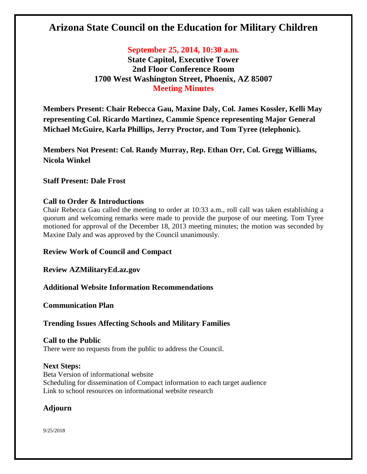# **Arizona State Council on the Education for Military Children**

## **September 25, 2014, 10:30 a.m.**

**State Capitol, Executive Tower 2nd Floor Conference Room 1700 West Washington Street, Phoenix, AZ 85007 Meeting Minutes**

**Members Present: Chair Rebecca Gau, Maxine Daly, Col. James Kossler, Kelli May representing Col. Ricardo Martinez, Cammie Spence representing Major General Michael McGuire, Karla Phillips, Jerry Proctor, and Tom Tyree (telephonic).**

**Members Not Present: Col. Randy Murray, Rep. Ethan Orr, Col. Gregg Williams, Nicola Winkel**

#### **Staff Present: Dale Frost**

### **Call to Order & Introductions**

Chair Rebecca Gau called the meeting to order at 10:33 a.m., roll call was taken establishing a quorum and welcoming remarks were made to provide the purpose of our meeting. Tom Tyree motioned for approval of the December 18, 2013 meeting minutes; the motion was seconded by Maxine Daly and was approved by the Council unanimously.

#### **Review Work of Council and Compact**

**Review AZMilitaryEd.az.gov** 

**Additional Website Information Recommendations** 

**Communication Plan** 

## **Trending Issues Affecting Schools and Military Families**

**Call to the Public** There were no requests from the public to address the Council.

#### **Next Steps:**

Beta Version of informational website Scheduling for dissemination of Compact information to each target audience Link to school resources on informational website research

## **Adjourn**

9/25/2018